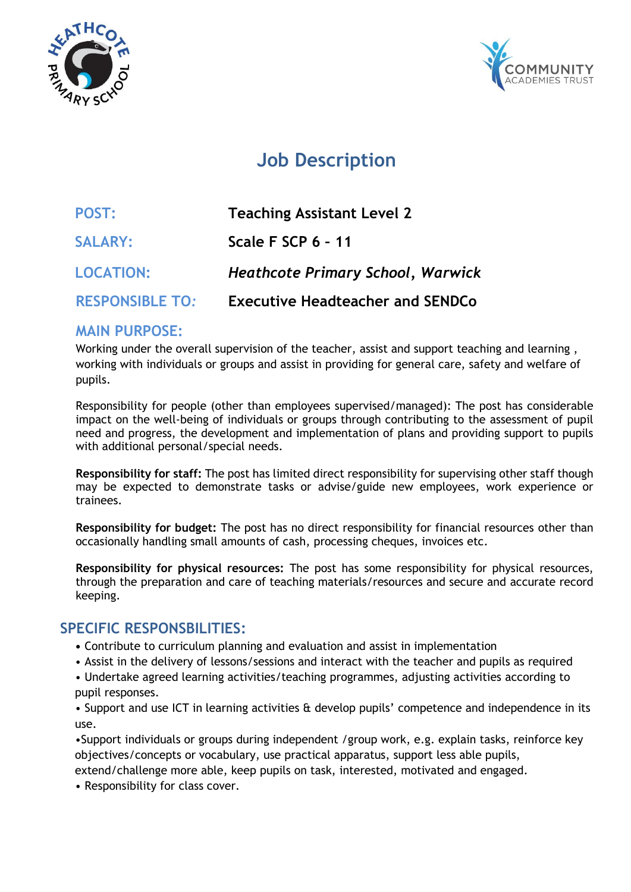



# **Job Description**

| POST:                  | <b>Teaching Assistant Level 2</b>        |
|------------------------|------------------------------------------|
| <b>SALARY:</b>         | Scale F SCP 6 - 11                       |
| <b>LOCATION:</b>       | <b>Heathcote Primary School, Warwick</b> |
| <b>RESPONSIBLE TO:</b> | <b>Executive Headteacher and SENDCo</b>  |

# **MAIN PURPOSE:**

Working under the overall supervision of the teacher, assist and support teaching and learning , working with individuals or groups and assist in providing for general care, safety and welfare of pupils.

Responsibility for people (other than employees supervised/managed): The post has considerable impact on the well-being of individuals or groups through contributing to the assessment of pupil need and progress, the development and implementation of plans and providing support to pupils with additional personal/special needs.

**Responsibility for staff:** The post has limited direct responsibility for supervising other staff though may be expected to demonstrate tasks or advise/guide new employees, work experience or trainees.

**Responsibility for budget:** The post has no direct responsibility for financial resources other than occasionally handling small amounts of cash, processing cheques, invoices etc.

**Responsibility for physical resources:** The post has some responsibility for physical resources, through the preparation and care of teaching materials/resources and secure and accurate record keeping.

# **SPECIFIC RESPONSBILITIES:**

- Contribute to curriculum planning and evaluation and assist in implementation
- Assist in the delivery of lessons/sessions and interact with the teacher and pupils as required

• Undertake agreed learning activities/teaching programmes, adjusting activities according to pupil responses.

• Support and use ICT in learning activities & develop pupils' competence and independence in its use.

•Support individuals or groups during independent /group work, e.g. explain tasks, reinforce key objectives/concepts or vocabulary, use practical apparatus, support less able pupils,

extend/challenge more able, keep pupils on task, interested, motivated and engaged.

• Responsibility for class cover.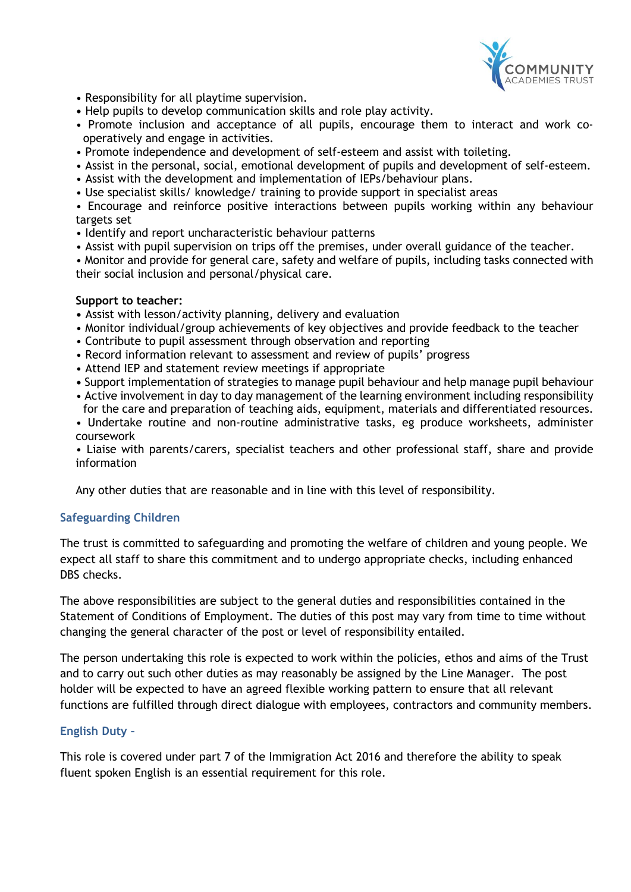

- Responsibility for all playtime supervision.
- Help pupils to develop communication skills and role play activity.
- Promote inclusion and acceptance of all pupils, encourage them to interact and work cooperatively and engage in activities.
- Promote independence and development of self-esteem and assist with toileting.
- Assist in the personal, social, emotional development of pupils and development of self-esteem.
- Assist with the development and implementation of IEPs/behaviour plans.
- Use specialist skills/ knowledge/ training to provide support in specialist areas

• Encourage and reinforce positive interactions between pupils working within any behaviour targets set

- Identify and report uncharacteristic behaviour patterns
- Assist with pupil supervision on trips off the premises, under overall guidance of the teacher.
- Monitor and provide for general care, safety and welfare of pupils, including tasks connected with their social inclusion and personal/physical care.

#### **Support to teacher:**

- Assist with lesson/activity planning, delivery and evaluation
- Monitor individual/group achievements of key objectives and provide feedback to the teacher
- Contribute to pupil assessment through observation and reporting
- Record information relevant to assessment and review of pupils' progress
- Attend IEP and statement review meetings if appropriate
- Support implementation of strategies to manage pupil behaviour and help manage pupil behaviour
- Active involvement in day to day management of the learning environment including responsibility for the care and preparation of teaching aids, equipment, materials and differentiated resources.
- Undertake routine and non-routine administrative tasks, eg produce worksheets, administer coursework

• Liaise with parents/carers, specialist teachers and other professional staff, share and provide information

Any other duties that are reasonable and in line with this level of responsibility.

#### **Safeguarding Children**

The trust is committed to safeguarding and promoting the welfare of children and young people. We expect all staff to share this commitment and to undergo appropriate checks, including enhanced DBS checks.

The above responsibilities are subject to the general duties and responsibilities contained in the Statement of Conditions of Employment. The duties of this post may vary from time to time without changing the general character of the post or level of responsibility entailed.

The person undertaking this role is expected to work within the policies, ethos and aims of the Trust and to carry out such other duties as may reasonably be assigned by the Line Manager. The post holder will be expected to have an agreed flexible working pattern to ensure that all relevant functions are fulfilled through direct dialogue with employees, contractors and community members.

#### **English Duty –**

This role is covered under part 7 of the Immigration Act 2016 and therefore the ability to speak fluent spoken English is an essential requirement for this role.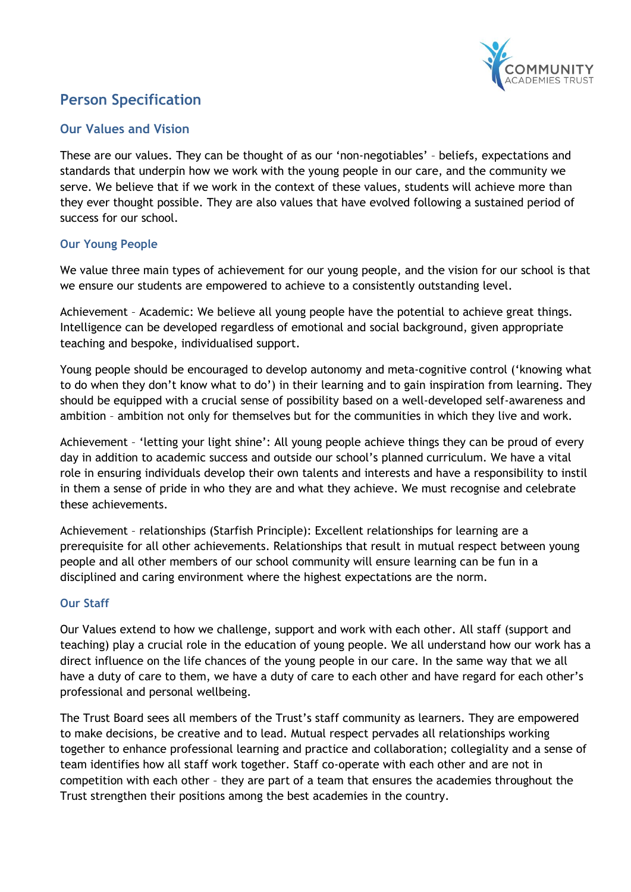

# **Person Specification**

## **Our Values and Vision**

These are our values. They can be thought of as our 'non-negotiables' – beliefs, expectations and standards that underpin how we work with the young people in our care, and the community we serve. We believe that if we work in the context of these values, students will achieve more than they ever thought possible. They are also values that have evolved following a sustained period of success for our school.

## **Our Young People**

We value three main types of achievement for our young people, and the vision for our school is that we ensure our students are empowered to achieve to a consistently outstanding level.

Achievement – Academic: We believe all young people have the potential to achieve great things. Intelligence can be developed regardless of emotional and social background, given appropriate teaching and bespoke, individualised support.

Young people should be encouraged to develop autonomy and meta-cognitive control ('knowing what to do when they don't know what to do') in their learning and to gain inspiration from learning. They should be equipped with a crucial sense of possibility based on a well-developed self-awareness and ambition – ambition not only for themselves but for the communities in which they live and work.

Achievement – 'letting your light shine': All young people achieve things they can be proud of every day in addition to academic success and outside our school's planned curriculum. We have a vital role in ensuring individuals develop their own talents and interests and have a responsibility to instil in them a sense of pride in who they are and what they achieve. We must recognise and celebrate these achievements.

Achievement – relationships (Starfish Principle): Excellent relationships for learning are a prerequisite for all other achievements. Relationships that result in mutual respect between young people and all other members of our school community will ensure learning can be fun in a disciplined and caring environment where the highest expectations are the norm.

## **Our Staff**

Our Values extend to how we challenge, support and work with each other. All staff (support and teaching) play a crucial role in the education of young people. We all understand how our work has a direct influence on the life chances of the young people in our care. In the same way that we all have a duty of care to them, we have a duty of care to each other and have regard for each other's professional and personal wellbeing.

The Trust Board sees all members of the Trust's staff community as learners. They are empowered to make decisions, be creative and to lead. Mutual respect pervades all relationships working together to enhance professional learning and practice and collaboration; collegiality and a sense of team identifies how all staff work together. Staff co-operate with each other and are not in competition with each other – they are part of a team that ensures the academies throughout the Trust strengthen their positions among the best academies in the country.